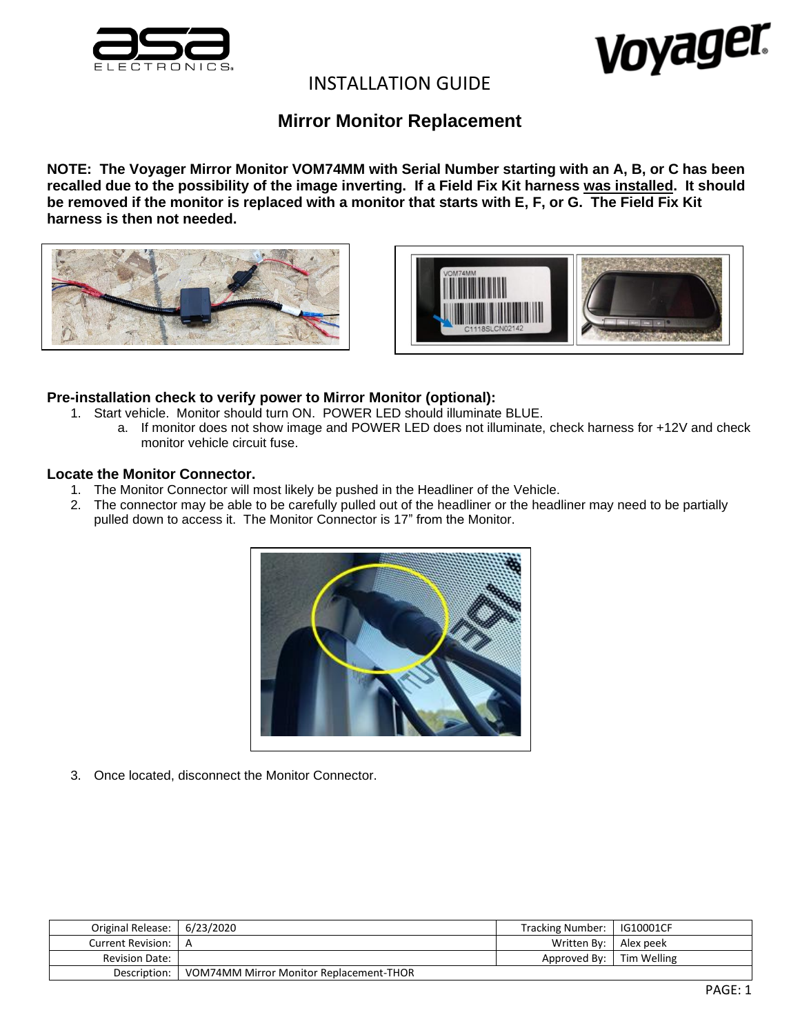



# INSTALLATION GUIDE

# **Mirror Monitor Replacement**

**NOTE: The Voyager Mirror Monitor VOM74MM with Serial Number starting with an A, B, or C has been recalled due to the possibility of the image inverting. If a Field Fix Kit harness was installed. It should be removed if the monitor is replaced with a monitor that starts with E, F, or G. The Field Fix Kit harness is then not needed.**





## **Pre-installation check to verify power to Mirror Monitor (optional):**

- 1. Start vehicle. Monitor should turn ON. POWER LED should illuminate BLUE.
	- a. If monitor does not show image and POWER LED does not illuminate, check harness for +12V and check monitor vehicle circuit fuse.

## **Locate the Monitor Connector.**

- 1. The Monitor Connector will most likely be pushed in the Headliner of the Vehicle.
- 2. The connector may be able to be carefully pulled out of the headliner or the headliner may need to be partially pulled down to access it. The Monitor Connector is 17" from the Monitor.



3. Once located, disconnect the Monitor Connector.

| Original Release: 6/23/2020 |                                         | Tracking Number:   IG10001CF |  |
|-----------------------------|-----------------------------------------|------------------------------|--|
| Current Revision: 1 A       |                                         | Written By:   Alex peek      |  |
| <b>Revision Date:</b>       |                                         | Approved By: Tim Welling     |  |
| Description:                | VOM74MM Mirror Monitor Replacement-THOR |                              |  |